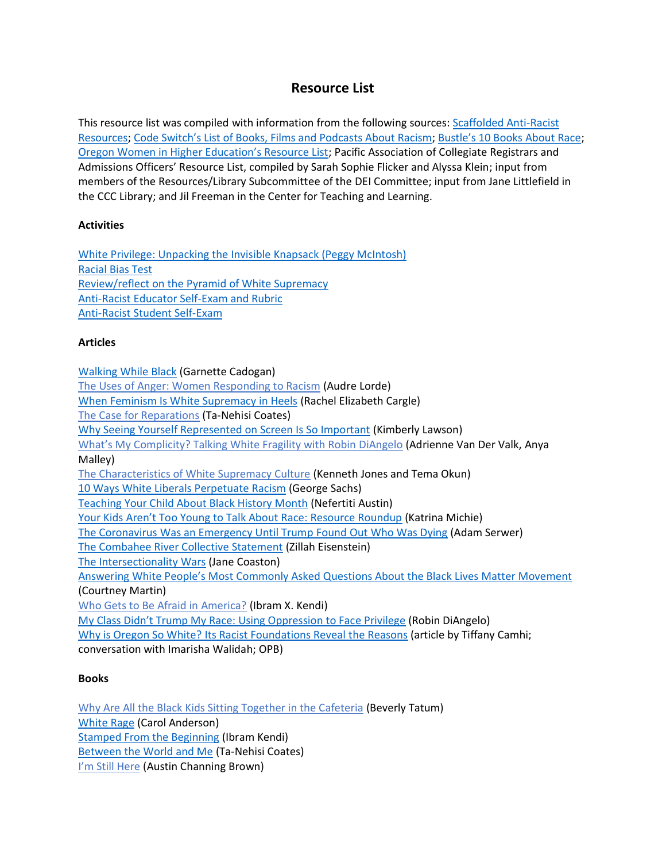# **Resource List**

This resource list was compiled with information from the following sources: [Scaffolded Anti-Racist](https://docs.google.com/document/u/0/d/1PrAq4iBNb4nVIcTsLcNlW8zjaQXBLkWayL8EaPlh0bc/mobilebasic)  [Resources;](https://docs.google.com/document/u/0/d/1PrAq4iBNb4nVIcTsLcNlW8zjaQXBLkWayL8EaPlh0bc/mobilebasic) [Code Switch's List of Books, Films and Podcasts About Racism](https://www.npr.org/sections/codeswitch/2020/06/06/871023438/this-list-of-books-films-and-podcasts-about-racism-is-a-start-not-a-panacea?utm_term=nprnews&utm_campaign=npr&utm_medium=social&utm_source=facebook.com); [Bustle's 10 Books About Race](https://www.bustle.com/p/10-books-about-race-to-read-instead-of-asking-a-person-of-color-to-explain-things-to-you-8548796?utm_campaign=bustle&utm_content=1591023306&utm_medium=owned&utm_source=facebook); [Oregon Women in Higher Education's Resource List](https://docs.google.com/document/d/1D3Mysz_f6qshIxD7KOLuVHgFthSAIL2NmnJt3EsD0ys/edit); Pacific Association of Collegiate Registrars and Admissions Officers' Resource List, compiled by Sarah Sophie Flicker and Alyssa Klein; input from members of the Resources/Library Subcommittee of the DEI Committee; input from Jane Littlefield in the CCC Library; and Jil Freeman in the Center for Teaching and Learning.

### **Activities**

[White Privilege: Unpacking the Invisible Knapsack](https://www.racialequitytools.org/resourcefiles/mcintosh.pdf) (Peggy McIntosh) [Racial Bias Test](https://implicit.harvard.edu/implicit/user/agg/blindspot/indexrk.htm) Review/reflect on the [Pyramid of White Supremacy](https://www.instagram.com/p/CAq9_0uJary/?hl=en) [Anti-Racist Educator Self-Exam and Rubric](https://docs.google.com/document/d/1OT1-wV7ulYFpxQ3HAoo-7IID5Ap6s-MNEYwe3RRJGBo/edit) [Anti-Racist Student Self-Exam](https://docs.google.com/document/d/1SQCk-fqMaYBdpU30SMh-rYl9DHuKNFlE0nMNquS9Izo/edit)

## **Articles**

[Walking While Black](https://lithub.com/walking-while-black/?fbclid=IwAR00nbDnPcoE7BJOUZgQL8nxFckVR0vsDWdC9hUXtERwmxmhuRw7HVSDwTI) (Garnette Cadogan) [The Uses of Anger: Women Responding to Racism](https://www.blackpast.org/african-american-history/speeches-african-american-history/1981-audre-lorde-uses-anger-women-responding-racism/) (Audre Lorde) [When Feminism Is White Supremacy in Heels](https://www.harpersbazaar.com/culture/politics/a22717725/what-is-toxic-white-feminism/) (Rachel Elizabeth Cargle) [The Case for Reparations](https://www.theatlantic.com/magazine/archive/2014/06/the-case-for-reparations/361631/) (Ta-Nehisi Coates) [Why Seeing Yourself Represented on Screen Is So Important](https://www.vice.com/en_us/article/zmwq3x/why-diversity-on-screen-is-important-black-panther) (Kimberly Lawson) [What's My Complicity? Talking White Fragility with Robin DiAngelo](https://www.tolerance.org/magazine/summer-2019/whats-my-complicity-talking-white-fragility-with-robin-diangelo) (Adrienne Van Der Valk, Anya Malley) [The Characteristics of White Supremacy Culture](https://www.showingupforracialjustice.org/white-supremacy-culture-characteristics.html) (Kenneth Jones and Tema Okun) [10 Ways White Liberals Perpetuate Racism](https://www.huffpost.com/entry/10-ways-white-liberals-pe_b_8068136) (George Sachs) [Teaching Your Child About Black History Month](https://www.pbs.org/parents/thrive/teaching-your-child-about-black-history-month) (Nefertiti Austin) [Your Kids Aren't Too Young to Talk About Race: Resource Roundup](https://www.prettygooddesign.org/blog/Blog%20Post%20Title%20One-5new4) (Katrina Michie) [The Coronavirus Was an Emergency Until Trump Found Out Who Was Dying](https://www.theatlantic.com/ideas/archive/2020/05/americas-racial-contract-showing/611389/) (Adam Serwer) [The Combahee River Collective Statement](http://circuitous.org/scraps/combahee.html) (Zillah Eisenstein) [The Intersectionality Wars](https://www.vox.com/the-highlight/2019/5/20/18542843/intersectionality-conservatism-law-race-gender-discrimination) (Jane Coaston) [Answering White People's Most Commonly Asked Questions About the Black Lives Matter Movement](https://thebolditalic.com/where-do-i-donate-why-is-the-uprising-violent-should-i-go-protest-5cefeac37ef9) (Courtney Martin) [Who Gets to Be Afraid in America?](https://www.theatlantic.com/ideas/archive/2020/05/ahmaud-arbery/611539/) (Ibram X. Kendi) [My Class Didn't Trump My Race: Using Oppressio](https://robindiangelo.com/wp-content/uploads/2016/01/ClassTrumpRace.pdf)n to Face Privilege (Robin DiAngelo) [Why is Oregon So White? Its Racist Foundations Reveal the Reasons](https://www.opb.org/news/article/oregon-white-history-racist-foundations-black-exclusion-laws/) (article by Tiffany Camhi; conversation with Imarisha Walidah; OPB)

### **Books**

[Why Are All the Black Kids Sitting Together in the Cafeteria](https://www.basicbooks.com/titles/beverly-daniel-tatum/why-are-all-the-black-kids-sitting-together-in-the-cafeteria/9781541616585/) (Beverly Tatum) [White Rage](https://www.bloomsbury.com/us/white-rage-9781632864123/) (Carol Anderson) [Stamped From the Beginning](https://www.ibramxkendi.com/stamped-from-the-beginning) (Ibram Kendi) [Between the World and Me](https://www.penguinrandomhouse.com/books/220290/between-the-world-and-me-by-ta-nehisi-coates/) (Ta-Nehisi Coates) [I'm Still Here](http://austinchanning.com/the-book) (Austin Channing Brown)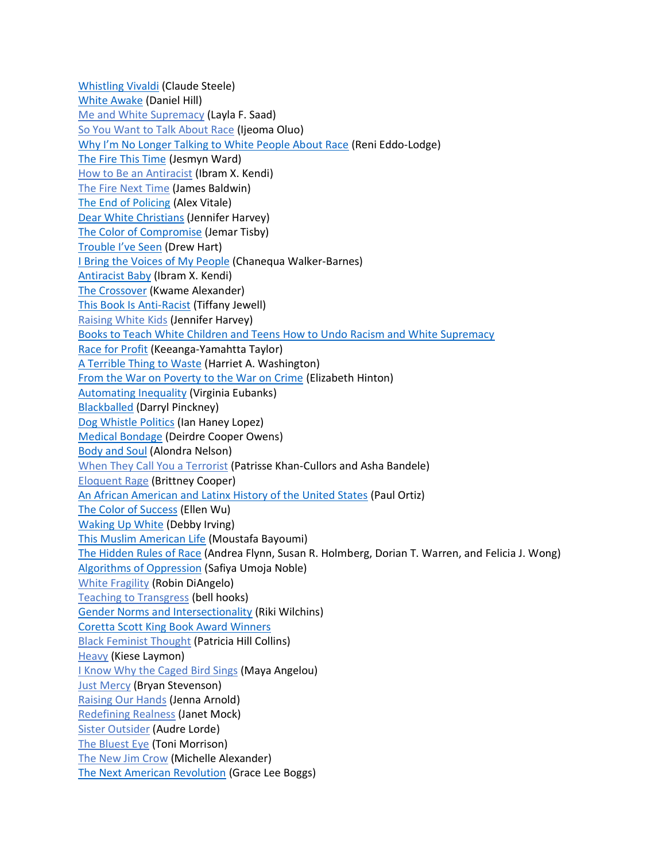[Whistling Vivaldi](https://wwnorton.com/books/Whistling-Vivaldi/) (Claude Steele) [White Awake](https://www.ivpress.com/white-awake) (Daniel Hill) [Me and White Supremacy](https://www.meandwhitesupremacybook.com/) (Layla F. Saad) [So You Want to Talk About Race](https://www.sealpress.com/titles/ijeoma-oluo/so-you-want-to-talk-about-race/9781580056779/) (Ijeoma Oluo) [Why I'm No Longer Talking to White People About Race](http://renieddolodge.co.uk/books/) (Reni Eddo-Lodge) [The Fire This Time](https://www.simonandschuster.com/books/The-Fire-This-Time/Jesmyn-Ward/9781501126352) (Jesmyn Ward) [How to Be an Antiracist](https://www.ibramxkendi.com/books-1) (Ibram X. Kendi) [The Fire Next Time](https://www.penguinrandomhouse.com/books/7753/the-fire-next-time-by-james-baldwin/) (James Baldwin) [The End of Policing](https://www.versobooks.com/books/2426-the-end-of-policing) (Alex Vitale) [Dear White Christians](https://www.eerdmans.com/Products/7207/dear-white-christians.aspx) (Jennifer Harvey) [The Color of Compromise](https://www.thecolorofcompromise.com/) (Jemar Tisby) [Trouble I've Seen](https://heraldpress.com/books/trouble-ive-seen/) (Drew Hart) [I Bring the Voices of My People](https://www.indiebound.org/book/9780802877208?aff=CCFW) (Chanequa Walker-Barnes) [Antiracist Baby](https://bookshop.org/books/antiracist-baby/9780593110416) (Ibram X. Kendi) [The Crossover](https://kwamealexander.com/product/f/BOOKS/10) (Kwame Alexander) [This Book Is Anti-Racist](https://www.indiebound.org/book/9780711245211) (Tiffany Jewell) [Raising White Kids](https://www.abingdonpress.com/product/9781501856426/) (Jennifer Harvey) [Books to Teach White Children and Teens How to Undo Racism and White Supremacy](https://www.charisbooksandmore.com/books-teach-white-children-and-teens-how-undo-racism-and-white-supremacy) [Race for Profit](https://www.abingdonpress.com/product/9781501856426/) (Keeanga-Yamahtta Taylor) [A Terrible Thing to Waste](https://www.abingdonpress.com/product/9781501856426/) (Harriet A. Washington) [From the War on Poverty to the War on Crime](https://www.hup.harvard.edu/catalog.php?isbn=9780674979826) (Elizabeth Hinton) [Automating Inequality](https://www.npr.org/books/titles/586392678/automating-inequality-how-high-tech-tools-profile-police-and-punish-the-poor) (Virginia Eubanks) [Blackballed](https://www.nyrb.com/products/blackballed?variant=1094927969) (Darryl Pinckney) [Dog Whistle Politics](https://www.npr.org/books/titles/358318685/dog-whistle-politics-how-coded-racial-appeals-have-reinvented-racism-and-wrecked) (Ian Haney Lopez) [Medical Bondage](https://ugapress.org/book/9780820354750/medical-bondage/) (Deirdre Cooper Owens) [Body and Soul](https://manifold.umn.edu/projects/body-and-soul) (Alondra Nelson) [When They Call You a Terrorist](https://www.amazon.com/gp/product/1250171083/ref=as_li_ss_tl?ots=1&ie=UTF8&linkCode=ll1&tag=bustle10629-20&linkId=8b158b9d1d7133157d3f2cadb5e55bb5) (Patrisse Khan-Cullors and Asha Bandele) [Eloquent Rage](https://www.amazon.com/gp/product/1250112575/ref=as_li_ss_tl?ots=1&ie=UTF8&linkCode=ll1&tag=bustle10629-20&linkId=2b3c3dbd34f0b5a0eb2effb6cce340cc) (Brittney Cooper) [An African American and Latinx History of the United States](https://www.amazon.com/African-American-Latinx-History-ReVisioning/dp/0807005932/ref=as_li_ss_tl?ots=1&_encoding=UTF8&qid=&sr=&dpID=619Vasscc1L&preST=_SY344_BO1,204,203,200_QL70_&dpSrc=detail&linkCode=ll1&tag=bustle10629-20&linkId=d421eda8b65850f98d8049bc3c9b8cee) (Paul Ortiz) [The Color of Success](https://www.amazon.com/gp/product/0691168024/ref=as_li_ss_tl?ots=1&ie=UTF8&linkCode=ll1&tag=bustle10629-20&linkId=3cab929fa4aa93cb90b7b0d8902dcabe) (Ellen Wu) [Waking Up White](https://www.amazon.com/gp/product/0991331303/ref=as_li_ss_tl?ots=1&ie=UTF8&linkCode=ll1&tag=bustle10629-20&linkId=1a6b151eb7b0356efb0285cb87d06666) (Debby Irving) [This Muslim American Life](https://www.amazon.com/gp/product/1479835641/ref=as_li_ss_tl?ots=1&ie=UTF8&linkCode=ll1&tag=bustle10629-20&linkId=68872d2da78a4dfcfcfa2dd030b7cc82) (Moustafa Bayoumi) [The Hidden Rules of Race](https://www.amazon.com/gp/product/110841754X/ref=as_li_ss_tl?ots=1&ie=UTF8&linkCode=ll1&tag=bustle10629-20&linkId=be72777a45ef468979eb7ca813a5f3c9) (Andrea Flynn, Susan R. Holmberg, Dorian T. Warren, and Felicia J. Wong) [Algorithms of Oppression](https://www.amazon.com/gp/product/1479837245/ref=as_li_ss_tl?ots=1&ie=UTF8&linkCode=ll1&tag=bustle10629-20&linkId=9c6bb07c6079cba9d8d60d3461d3674f) (Safiya Umoja Noble) [White Fragility](https://robindiangelo.com/publications/) (Robin DiAngelo) [Teaching to Transgress](https://academictrap.files.wordpress.com/2015/03/bell-hooks-teaching-to-transgress.pdf) (bell hooks) [Gender Norms and Intersectionality](https://books.google.com/books/about/Gender_Norms_and_Intersectionality.html?id=GvGODwAAQBAJ) (Riki Wilchins) [Coretta Scott King Book Award Winners](https://www.commonsensemedia.org/lists/coretta-scott-king-book-award-winners) [Black Feminist Thought](https://books.google.com/books/about/Black_Feminist_Thought.html?id=cdtYsU3zR14C) (Patricia Hill Collins) [Heavy](https://www.kieselaymon.com/heavy) (Kiese Laymon) [I Know Why the Caged Bird Sings](https://www.penguinrandomhouse.com/books/3924/i-know-why-the-caged-bird-sings-by-maya-angelou/) (Maya Angelou) [Just Mercy](https://justmercy.eji.org/) (Bryan Stevenson) [Raising Our Hands](https://www.jennaarnold.com/book) (Jenna Arnold) [Redefining Realness](https://www.simonandschuster.com/books/Redefining-Realness/Janet-Mock/9781476709130) (Janet Mock) [Sister Outsider](https://www.penguinrandomhouse.com/books/198292/sister-outsider-by-audre-lorde/) (Audre Lorde) [The Bluest Eye](https://www.penguinrandomhouse.com/books/117662/the-bluest-eye-by-toni-morrison/) (Toni Morrison) [The New Jim Crow](https://newjimcrow.com/) (Michelle Alexander) [The Next American Revolution](https://www.ucpress.edu/book/9780520272590/the-next-american-revolution) (Grace Lee Boggs)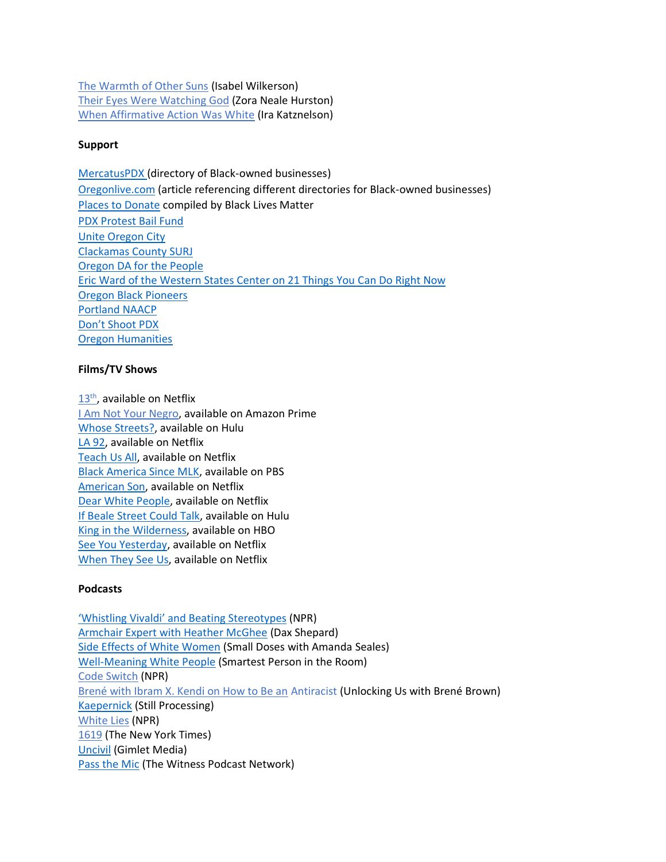[The Warmth of Other Suns](https://www.penguinrandomhouse.com/books/190696/the-warmth-of-other-suns-by-isabel-wilkerson/) (Isabel Wilkerson) [Their Eyes Were Watching God](https://www.zoranealehurston.com/books/their-eyes-were-watching-god/) (Zora Neale Hurston) [When Affirmative Action Was White](https://books.google.com/books/about/When_Affirmative_Action_was_White.html?id=cfhneJPcD38C) (Ira Katznelson)

#### **Support**

[MercatusPDX](https://mercatuspdx.com/directory/black-owned-businesses/#!directory/ord=rnd) (directory of Black-owned businesses) [Oregonlive.com](https://www.oregonlive.com/business/2020/06/organizations-create-directories-of-black-owned-businesses-and-black-leaders-in-portland.html) (article referencing different directories for Black-owned businesses) [Places to Donate](https://blacklivesmatters.carrd.co/#donate) compiled by Black Lives Matter [PDX Protest Bail Fund](https://www.gofundme.com/f/pdx-protest-bail-fund) [Unite Oregon City](https://www.facebook.com/groups/1930815500483813) [Clackamas County SURJ](https://www.facebook.com/groups/ClackamasSURJ) [Oregon DA for the People](https://www.oregondaforthepeople.com/) [Eric Ward of the Western States Center on 21 Things You Can Do Right Now](https://medium.com/@westernstatescenter/authoritarian-state-or-inclusive-democracy-21-things-we-can-do-right-now-ab8786c74bd9) [Oregon Black Pioneers](https://medium.com/@westernstatescenter/authoritarian-state-or-inclusive-democracy-21-things-we-can-do-right-now-ab8786c74bd9) [Portland NAACP](https://medium.com/@westernstatescenter/authoritarian-state-or-inclusive-democracy-21-things-we-can-do-right-now-ab8786c74bd9) [Don't Shoot PDX](https://medium.com/@westernstatescenter/authoritarian-state-or-inclusive-democracy-21-things-we-can-do-right-now-ab8786c74bd9) [Oregon Humanities](https://www.oregonhumanities.org/who/about-the-work/our-learning-list-toward-racial-justice/)

#### **Films/TV Shows**

[13](https://www.youtube.com/watch?v=krfcq5pF8u8)<sup>th</sup>, available on Netflix [I Am Not Your Negro,](https://www.amazon.com/I-Am-Not-Your-Negro/dp/B01MR52U7T) available on Amazon Prime [Whose Streets?,](https://www.hulu.com/movie/whose-streets-3e8f4b7a-75d4-4484-9843-e665b60e2758) available on Hulu

[LA 92,](https://www.netflix.com/title/80184131) available on Netflix [Teach Us All,](https://www.netflix.com/title/80198423) available on Netflix [Black America Since MLK,](https://www.pbs.org/show/black-america-mlk-and-still-i-rise/) available on PBS [American Son,](https://www.netflix.com/title/81024100) available on Netflix [Dear White People,](https://www.netflix.com/title/80095698) available on Netflix [If Beale Street Could Talk,](https://www.hulu.com/movie/if-beale-street-could-talk-a862614d-c49e-4208-b934-1476963896fe?entity_id=a862614d-c49e-4208-b934-1476963896fe) available on Hulu [King in the Wilderness,](https://www.hbo.com/documentaries/king-in-the-wilderness) available on HBO [See You Yesterday,](https://www.netflix.com/title/80216758?source=35) available on Netflix [When They See Us,](https://www.netflix.com/title/80200549?source=35) available on Netflix

#### **Podcasts**

['Whistling Vivaldi' and Beating Stereotypes](https://www.npr.org/templates/story/story.php?storyId=125859207) (NPR) [Armchair Expert with Heather McGhee](https://armchairexpertpod.com/pods/heather-mcghee) (Dax Shepard) [Side Effects of White Women](https://www.stitcher.com/podcast/starburns-audio/small-doses/e/54694841?autoplay=true) (Small Doses with Amanda Seales) [Well-Meaning White People](https://podcasts.apple.com/us/podcast/ep-30-bias-well-meaning-white-people/id1142903667?i=1000409893824) (Smartest Person in the Room) [Code Switch](https://www.npr.org/sections/codeswitch/) (NPR) [Brené with Ibram X. Kendi on How to Be an](https://podcasts.apple.com/us/podcast/unlocking-us-with-bren%C3%A9-brown/id1494350511?i=1000476611079) Antiracist (Unlocking Us with Brené Brown) [Kaepernick](https://www.nytimes.com/2019/01/17/podcasts/still-processing-kaepernick-nike.html) (Still Processing) [White Lies](https://www.npr.org/podcasts/510343/white-lies) (NPR) [1619](https://podcasts.apple.com/us/podcast/1619/id1476928106) (The New York Times) [Uncivil](https://gimletmedia.com/shows/uncivil) (Gimlet Media) [Pass the Mic](https://thewitnessbcc.com/pass-the-mic/) (The Witness Podcast Network)